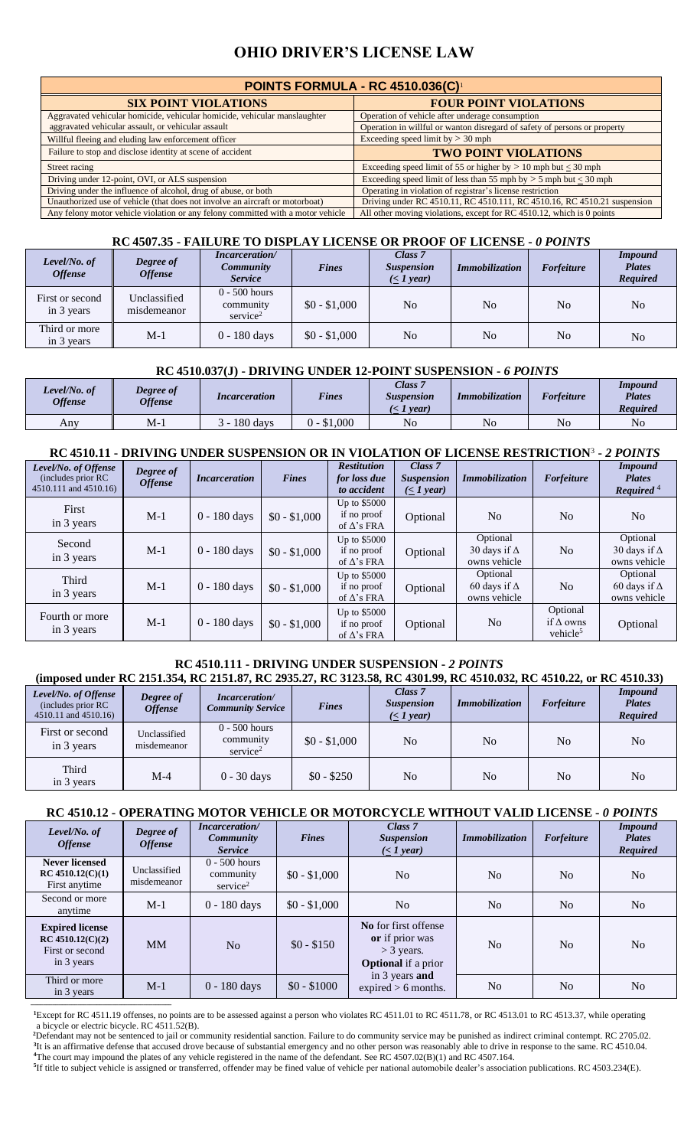# **OHIO DRIVER'S LICENSE LAW**

| POINTS FORMULA - RC 4510.036(C)                                                 |                                                                           |  |  |  |  |  |  |  |
|---------------------------------------------------------------------------------|---------------------------------------------------------------------------|--|--|--|--|--|--|--|
| <b>SIX POINT VIOLATIONS</b>                                                     | <b>FOUR POINT VIOLATIONS</b>                                              |  |  |  |  |  |  |  |
| Aggravated vehicular homicide, vehicular homicide, vehicular manslaughter       | Operation of vehicle after underage consumption                           |  |  |  |  |  |  |  |
| aggravated vehicular assault, or vehicular assault                              | Operation in willful or wanton disregard of safety of persons or property |  |  |  |  |  |  |  |
| Willful fleeing and eluding law enforcement officer                             | Exceeding speed limit by $>$ 30 mph                                       |  |  |  |  |  |  |  |
| Failure to stop and disclose identity at scene of accident                      | <b>TWO POINT VIOLATIONS</b>                                               |  |  |  |  |  |  |  |
| Street racing                                                                   | Exceeding speed limit of 55 or higher by $> 10$ mph but < 30 mph          |  |  |  |  |  |  |  |
| Driving under 12-point, OVI, or ALS suspension                                  | Exceeding speed limit of less than 55 mph by $> 5$ mph but $< 30$ mph     |  |  |  |  |  |  |  |
| Driving under the influence of alcohol, drug of abuse, or both                  | Operating in violation of registrar's license restriction                 |  |  |  |  |  |  |  |
| Unauthorized use of vehicle (that does not involve an aircraft or motorboat)    | Driving under RC 4510.11, RC 4510.111, RC 4510.16, RC 4510.21 suspension  |  |  |  |  |  |  |  |
| Any felony motor vehicle violation or any felony committed with a motor vehicle | All other moving violations, except for RC 4510.12, which is 0 points     |  |  |  |  |  |  |  |

#### **RC 4507.35 - FAILURE TO DISPLAY LICENSE OR PROOF OF LICENSE -** *0 POINTS*

| Level/No. of<br><b>Offense</b> | Degree of<br><b>Offense</b> | <i>Incarceration</i> /<br><b>Community</b><br><b>Service</b> | <b>Fines</b>  | Class 7<br><b>Suspension</b><br>$(\leq 1$ year) | <b>Immobilization</b> | <b>Forfeiture</b> | <b>Impound</b><br><b>Plates</b><br><b>Required</b> |
|--------------------------------|-----------------------------|--------------------------------------------------------------|---------------|-------------------------------------------------|-----------------------|-------------------|----------------------------------------------------|
| First or second<br>in 3 years  | Unclassified<br>misdemeanor | $0 - 500$ hours<br>community<br>$s$ ervice <sup>2</sup>      | $$0 - $1,000$ | No                                              | N <sub>o</sub>        | N <sub>0</sub>    | N <sub>0</sub>                                     |
| Third or more<br>in 3 years    | $M-1$                       | $0 - 180$ days                                               | $$0 - $1,000$ | No                                              | N <sub>o</sub>        | N <sub>0</sub>    | No                                                 |

#### **RC 4510.037(J) - DRIVING UNDER 12-POINT SUSPENSION -** *6 POINTS*

| Level/No. of<br><b>Offense</b> | <b>Degree</b> of<br>Offense | <i>Incarceration</i> | <b>Fines</b> | Class 7<br><b>Suspension</b><br>vear. | <b>Immobilization</b> | <b>Forfeiture</b> | Impound<br><b>Plates</b><br><b>Required</b> |
|--------------------------------|-----------------------------|----------------------|--------------|---------------------------------------|-----------------------|-------------------|---------------------------------------------|
| Any                            | M-1                         | 180 days             | $0 - $1,000$ | No                                    | No                    | No                | No                                          |

# **RC 4510.11 - DRIVING UNDER SUSPENSION OR IN VIOLATION OF LICENSE RESTRICTION**<sup>3</sup> **-** *2 POINTS*

| Level/No. of Offense<br>(includes prior RC)<br>4510.111 and 4510.16) | Degree of<br><b>Offense</b> | <i>Incarceration</i> | <b>Fines</b>  | <b>Restitution</b><br>for loss due<br>to accident  | Class 7<br><b>Suspension</b><br>( <i>I</i> year) | <b>Immobilization</b>                           | <b>Forfeiture</b>                                    | <b>Impound</b><br><b>Plates</b><br>Required $4$ |
|----------------------------------------------------------------------|-----------------------------|----------------------|---------------|----------------------------------------------------|--------------------------------------------------|-------------------------------------------------|------------------------------------------------------|-------------------------------------------------|
| First<br>in 3 years                                                  | $M-1$                       | 0 - 180 days         | $$0 - $1,000$ | Up to $$5000$<br>if no proof<br>of $\Delta$ 's FRA | Optional                                         | N <sub>0</sub>                                  | N <sub>o</sub>                                       | N <sub>0</sub>                                  |
| Second<br>in 3 years                                                 | $M-1$                       | $0 - 180$ days       | $$0 - $1,000$ | Up to \$5000<br>if no proof<br>of $\Delta$ 's FRA  | Optional                                         | Optional<br>30 days if $\Delta$<br>owns vehicle | No                                                   | Optional<br>30 days if $\Delta$<br>owns vehicle |
| Third<br>in 3 years                                                  | $M-1$                       | $0 - 180$ days       | $$0 - $1,000$ | Up to $$5000$<br>if no proof<br>of $\Delta$ 's FRA | Optional                                         | Optional<br>60 days if $\Delta$<br>owns vehicle | N <sub>o</sub>                                       | Optional<br>60 days if $\Delta$<br>owns vehicle |
| Fourth or more<br>in 3 years                                         | $M-1$                       | $0 - 180$ days       | $$0 - $1,000$ | Up to $$5000$<br>if no proof<br>of $\Delta$ 's FRA | Optional                                         | N <sub>o</sub>                                  | Optional<br>if $\Delta$ owns<br>vehicle <sup>5</sup> | Optional                                        |

#### **RC 4510.111 - DRIVING UNDER SUSPENSION -** *2 POINTS*  **(imposed under RC 2151.354, RC 2151.87, RC 2935.27, RC 3123.58, RC 4301.99, RC 4510.032, RC 4510.22, or RC 4510.33)**

|                                                                     | (IMPOSEG UNGET KU 2151.354, KU 2151.87, KU 2935.27, KU 3123.38, KU 4301.99, KU 4510.032, KU 4510.22, OF KU 4510.33) |                                                         |               |                                                  |                       |                   |                                                    |  |  |  |  |
|---------------------------------------------------------------------|---------------------------------------------------------------------------------------------------------------------|---------------------------------------------------------|---------------|--------------------------------------------------|-----------------------|-------------------|----------------------------------------------------|--|--|--|--|
| Level/No. of Offense<br>(includes prior RC)<br>4510.11 and 4510.16) | Degree of<br><b>Offense</b>                                                                                         | Incarceration/<br><b>Community Service</b>              | <b>Fines</b>  | Class 7<br><b>Suspension</b><br>( <i>I</i> year) | <i>Immobilization</i> | <b>Forfeiture</b> | <i>Impound</i><br><b>Plates</b><br><b>Required</b> |  |  |  |  |
| First or second<br>in 3 years                                       | Unclassified<br>misdemeanor                                                                                         | $0 - 500$ hours<br>community<br>$s$ ervice <sup>2</sup> | $$0 - $1,000$ | No                                               | N <sub>o</sub>        | No                | No                                                 |  |  |  |  |
| Third<br>in 3 years                                                 | $M-4$                                                                                                               | $0 - 30$ days                                           | $$0 - $250$   | No                                               | No                    | N <sub>0</sub>    | No                                                 |  |  |  |  |

# **RC 4510.12 - OPERATING MOTOR VEHICLE OR MOTORCYCLE WITHOUT VALID LICENSE -** *0 POINTS*

| Level/No. of<br><b>Offense</b>                                                | Degree of<br><b>Offense</b> | <b>Incarceration</b> /<br><i>Community</i><br><b>Service</b> | <b>Fines</b>  | Class 7<br><b>Suspension</b><br>$(\leq 1$ year)                                       | <i>Immobilization</i> | Forfeiture     | <b>Impound</b><br><b>Plates</b><br><b>Required</b> |
|-------------------------------------------------------------------------------|-----------------------------|--------------------------------------------------------------|---------------|---------------------------------------------------------------------------------------|-----------------------|----------------|----------------------------------------------------|
| <b>Never licensed</b><br>$RC$ 4510.12(C)(1)<br>First anytime                  | Unclassified<br>misdemeanor | $0 - 500$ hours<br>community<br>service <sup>2</sup>         | $$0 - $1,000$ | N <sub>o</sub>                                                                        | No                    | No             | N <sub>o</sub>                                     |
| Second or more<br>anytime                                                     | $M-1$                       | $0 - 180$ days                                               | $$0 - $1,000$ | N <sub>0</sub>                                                                        | No                    | No             | N <sub>0</sub>                                     |
| <b>Expired license</b><br>$RC$ 4510.12(C)(2)<br>First or second<br>in 3 years | <b>MM</b>                   | No                                                           | $$0 - $150$   | No for first offense<br>or if prior was<br>$>$ 3 years.<br><b>Optional</b> if a prior | No                    | N <sub>0</sub> | N <sub>0</sub>                                     |
| Third or more<br>in 3 years                                                   | $M-1$                       | 0 - 180 days                                                 | $$0 - $1000$  | in 3 years and<br>expired $> 6$ months.                                               | No                    | N <sub>o</sub> | N <sub>0</sub>                                     |

**<sup>1</sup>**Except for RC 4511.19 offenses, no points are to be assessed against a person who violates RC 4511.01 to RC 4511.78, or RC 4513.01 to RC 4513.37, while operating a bicycle or electric bicycle. RC 4511.52(B).

**\_\_\_\_\_\_\_\_\_\_\_\_\_\_\_\_\_\_\_\_\_\_\_\_\_\_\_\_\_\_\_\_\_\_\_\_\_\_\_\_\_\_\_\_\_**

**<sup>2</sup>**Defendant may not be sentenced to jail or community residential sanction. Failure to do community service may be punished as indirect criminal contempt. RC 2705.02. <sup>3</sup>It is an affirmative defense that accused drove because of substantial emergency and no other person was reasonably able to drive in response to the same. RC 4510.04. **<sup>4</sup>**The court may impound the plates of any vehicle registered in the name of the defendant. See RC 4507.02(B)(1) and RC 4507.164.

 **<sup>5</sup>** If title to subject vehicle is assigned or transferred, offender may be fined value of vehicle per national automobile dealer's association publications. RC 4503.234(E).